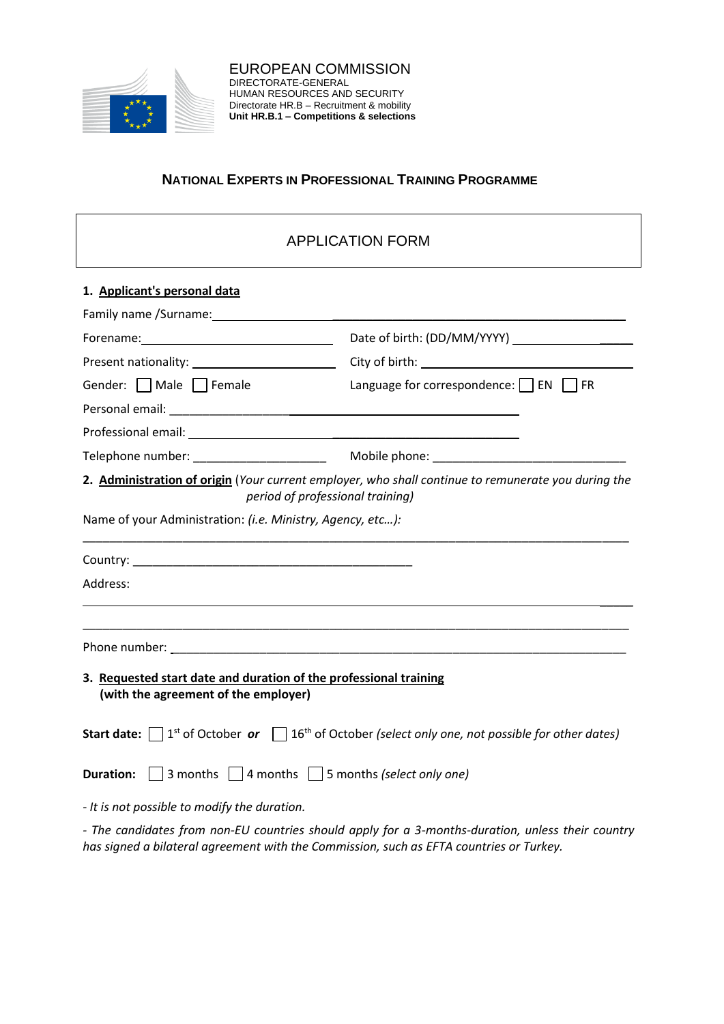

## **NATIONAL EXPERTS IN PROFESSIONAL TRAINING PROGRAMME**

# APPLICATION FORM

| 1. Applicant's personal data                                                                              |                                                                                                                                            |
|-----------------------------------------------------------------------------------------------------------|--------------------------------------------------------------------------------------------------------------------------------------------|
|                                                                                                           |                                                                                                                                            |
|                                                                                                           |                                                                                                                                            |
|                                                                                                           | Present nationality: _____________________________City of birth: ___________________________________                                       |
| Gender: $\Box$ Male $\Box$ Female                                                                         | Language for correspondence: □ EN □ FR                                                                                                     |
|                                                                                                           |                                                                                                                                            |
|                                                                                                           |                                                                                                                                            |
|                                                                                                           |                                                                                                                                            |
|                                                                                                           | 2. Administration of origin (Your current employer, who shall continue to remunerate you during the<br>period of professional training)    |
| Name of your Administration: (i.e. Ministry, Agency, etc):                                                |                                                                                                                                            |
|                                                                                                           |                                                                                                                                            |
| Address:                                                                                                  |                                                                                                                                            |
|                                                                                                           |                                                                                                                                            |
| 3. Requested start date and duration of the professional training<br>(with the agreement of the employer) |                                                                                                                                            |
|                                                                                                           | <b>Start date:</b> $\Box$ 1 <sup>st</sup> of October or $\Box$ 16 <sup>th</sup> of October (select only one, not possible for other dates) |
| <b>Duration:</b> $\Box$ 3 months $\Box$ 4 months $\Box$ 5 months (select only one)                        |                                                                                                                                            |
| - It is not possible to modify the duration.                                                              |                                                                                                                                            |

*- The candidates from non-EU countries should apply for a 3-months-duration, unless their country has signed a bilateral agreement with the Commission, such as EFTA countries or Turkey.*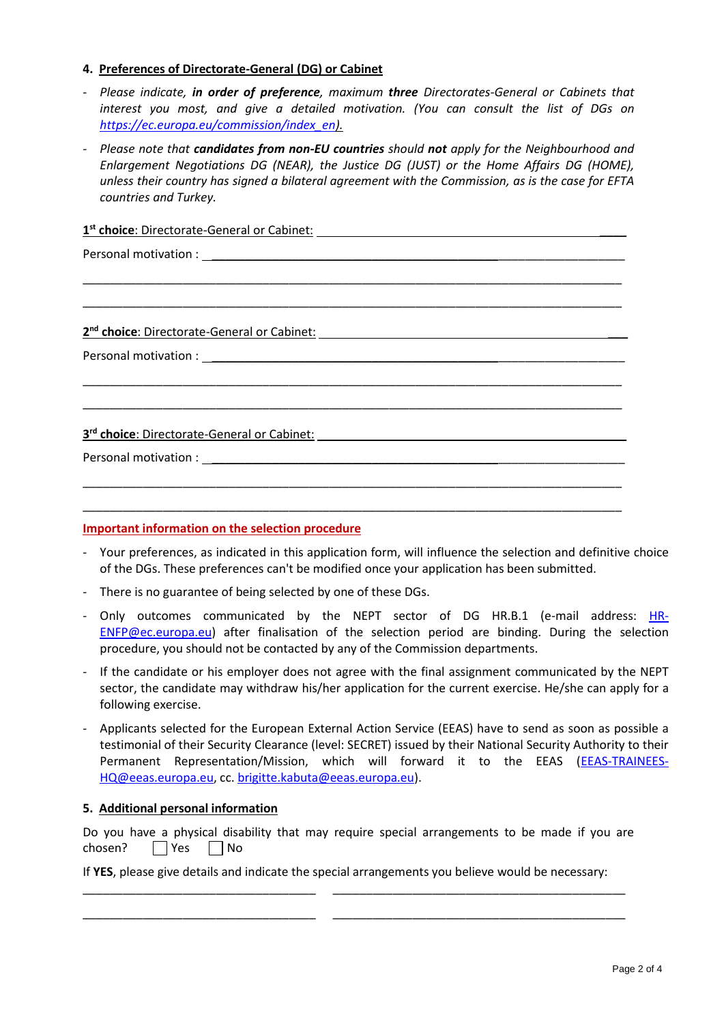## **4. Preferences of Directorate-General (DG) or Cabinet**

- *- Please indicate, in order of preference, maximum three Directorates-General or Cabinets that interest you most, and give a detailed motivation. (You can consult the list of DGs on [https://ec.europa.eu/commission/index\\_en\)](https://ec.europa.eu/commission/index_en).*
- *- Please note that candidates from non-EU countries should not apply for the Neighbourhood and Enlargement Negotiations DG (NEAR), the Justice DG (JUST) or the Home Affairs DG (HOME), unless their country has signed a bilateral agreement with the Commission, as is the case for EFTA countries and Turkey.*

\_\_\_\_\_\_\_\_\_\_\_\_\_\_\_\_\_\_\_\_\_\_\_\_\_\_\_\_\_\_\_\_\_\_\_\_\_\_\_\_\_\_\_\_\_\_\_\_\_\_\_\_\_\_\_\_\_\_\_\_\_\_\_\_\_\_\_\_\_\_\_\_\_\_\_\_\_\_\_\_\_ \_\_\_\_\_\_\_\_\_\_\_\_\_\_\_\_\_\_\_\_\_\_\_\_\_\_\_\_\_\_\_\_\_\_\_\_\_\_\_\_\_\_\_\_\_\_\_\_\_\_\_\_\_\_\_\_\_\_\_\_\_\_\_\_\_\_\_\_\_\_\_\_\_\_\_\_\_\_\_\_\_

\_\_\_\_\_\_\_\_\_\_\_\_\_\_\_\_\_\_\_\_\_\_\_\_\_\_\_\_\_\_\_\_\_\_\_\_\_\_\_\_\_\_\_\_\_\_\_\_\_\_\_\_\_\_\_\_\_\_\_\_\_\_\_\_\_\_\_\_\_\_\_\_\_\_\_\_\_\_\_\_\_ \_\_\_\_\_\_\_\_\_\_\_\_\_\_\_\_\_\_\_\_\_\_\_\_\_\_\_\_\_\_\_\_\_\_\_\_\_\_\_\_\_\_\_\_\_\_\_\_\_\_\_\_\_\_\_\_\_\_\_\_\_\_\_\_\_\_\_\_\_\_\_\_\_\_\_\_\_\_\_\_\_

\_\_\_\_\_\_\_\_\_\_\_\_\_\_\_\_\_\_\_\_\_\_\_\_\_\_\_\_\_\_\_\_\_\_\_\_\_\_\_\_\_\_\_\_\_\_\_\_\_\_\_\_\_\_\_\_\_\_\_\_\_\_\_\_\_\_\_\_\_\_\_\_\_\_\_\_\_\_\_\_\_ \_\_\_\_\_\_\_\_\_\_\_\_\_\_\_\_\_\_\_\_\_\_\_\_\_\_\_\_\_\_\_\_\_\_\_\_\_\_\_\_\_\_\_\_\_\_\_\_\_\_\_\_\_\_\_\_\_\_\_\_\_\_\_\_\_\_\_\_\_\_\_\_\_\_\_\_\_\_\_\_\_

**1 st choice**: Directorate-General or Cabinet: \_\_\_\_

Personal motivation :

**2 nd choice**: Directorate-General or Cabinet: \_\_\_

Personal motivation : \_\_\_\_\_\_\_\_\_\_\_\_\_\_\_\_\_\_\_\_\_\_\_\_\_\_\_\_\_\_\_\_\_\_\_\_\_\_\_\_\_\_\_\_\_\_\_\_\_\_\_\_\_\_\_\_\_\_\_\_\_\_

**3 rd choice**: Directorate-General or Cabinet: \_\_\_\_

Personal motivation : \_\_\_\_\_\_\_\_\_\_\_\_\_\_\_\_\_\_\_\_\_\_\_\_\_\_\_\_\_\_\_\_\_\_\_\_\_\_\_\_\_\_\_\_\_\_\_\_\_\_\_\_\_\_\_\_\_\_\_\_\_\_

### **Important information on the selection procedure**

- Your preferences, as indicated in this application form, will influence the selection and definitive choice of the DGs. These preferences can't be modified once your application has been submitted.
- There is no guarantee of being selected by one of these DGs.
- Only outcomes communicated by the NEPT sector of DG HR.B.1 (e-mail address: [HR-](mailto:HR-ENFP@ec.europa.eu)[ENFP@ec.europa.eu\)](mailto:HR-ENFP@ec.europa.eu) after finalisation of the selection period are binding. During the selection procedure, you should not be contacted by any of the Commission departments.
- If the candidate or his employer does not agree with the final assignment communicated by the NEPT sector, the candidate may withdraw his/her application for the current exercise. He/she can apply for a following exercise.
- Applicants selected for the European External Action Service (EEAS) have to send as soon as possible a testimonial of their Security Clearance (level: SECRET) issued by their National Security Authority to their Permanent Representation/Mission, which will forward it to the EEAS [\(EEAS-TRAINEES-](mailto:EEAS-TRAINEES-HQ@eeas.europa.eu)[HQ@eeas.europa.eu,](mailto:EEAS-TRAINEES-HQ@eeas.europa.eu) cc. [brigitte.kabuta@eeas.europa.eu\)](mailto:brigitte.kabuta@eeas.europa.eu).

### **5. Additional personal information**

Do you have a physical disability that may require special arrangements to be made if you are chosen?  $\Box$  Yes  $\Box$  No

If **YES**, please give details and indicate the special arrangements you believe would be necessary: \_\_\_\_\_\_\_\_\_\_\_\_\_\_\_\_\_\_\_\_\_\_\_\_\_\_\_\_\_\_\_\_\_\_\_ \_\_\_\_\_\_\_\_\_\_\_\_\_\_\_\_\_\_\_\_\_\_\_\_\_\_\_\_\_\_\_\_\_\_\_\_\_\_\_\_\_\_\_\_

\_\_\_\_\_\_\_\_\_\_\_\_\_\_\_\_\_\_\_\_\_\_\_\_\_\_\_\_\_\_\_\_\_\_\_ \_\_\_\_\_\_\_\_\_\_\_\_\_\_\_\_\_\_\_\_\_\_\_\_\_\_\_\_\_\_\_\_\_\_\_\_\_\_\_\_\_\_\_\_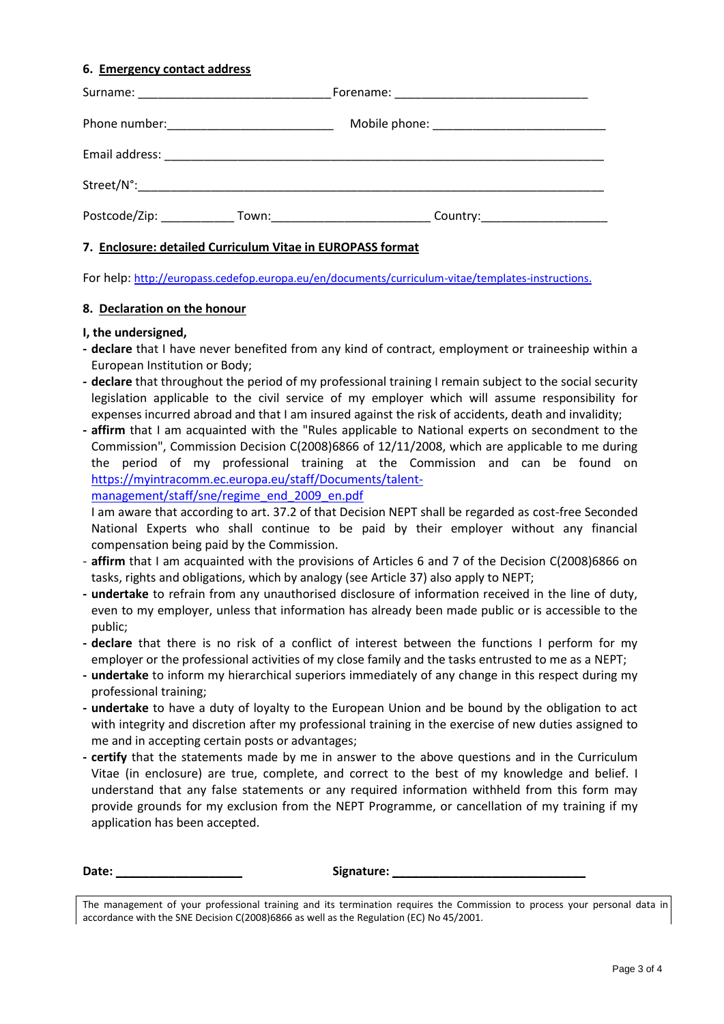### **6. Emergency contact address**

| Postcode/Zip:<br>Town: when the contract of the contract of the contract of the contract of the contract of the contract of the contract of the contract of the contract of the contract of the contract of the contract of the contract of the | Country:______________________ |
|-------------------------------------------------------------------------------------------------------------------------------------------------------------------------------------------------------------------------------------------------|--------------------------------|

#### **7. Enclosure: detailed Curriculum Vitae in EUROPASS format**

For help: [http://europass.cedefop.europa.eu/en/documents/curriculum-vitae/templates-instructions.](http://europass.cedefop.europa.eu/en/documents/curriculum-vitae/templates-instructions)

#### **8. Declaration on the honour**

#### **I, the undersigned,**

- **- declare** that I have never benefited from any kind of contract, employment or traineeship within a European Institution or Body;
- **- declare** that throughout the period of my professional training I remain subject to the social security legislation applicable to the civil service of my employer which will assume responsibility for expenses incurred abroad and that I am insured against the risk of accidents, death and invalidity;
- **- affirm** that I am acquainted with the "Rules applicable to National experts on secondment to the Commission", Commission Decision C(2008)6866 of 12/11/2008, which are applicable to me during the period of my professional training at the Commission and can be found on [https://myintracomm.ec.europa.eu/staff/Documents/talent-](https://myintracomm.ec.europa.eu/staff/Documents/talent-management/staff/sne/regime_end_2009_en.pdf)

management/staff/sne/regime\_end\_2009\_en.pdf

I am aware that according to art. 37.2 of that Decision NEPT shall be regarded as cost-free Seconded National Experts who shall continue to be paid by their employer without any financial compensation being paid by the Commission.

- **affirm** that I am acquainted with the provisions of Articles 6 and 7 of the Decision C(2008)6866 on tasks, rights and obligations, which by analogy (see Article 37) also apply to NEPT;
- **- undertake** to refrain from any unauthorised disclosure of information received in the line of duty, even to my employer, unless that information has already been made public or is accessible to the public;
- **- declare** that there is no risk of a conflict of interest between the functions I perform for my employer or the professional activities of my close family and the tasks entrusted to me as a NEPT;
- **- undertake** to inform my hierarchical superiors immediately of any change in this respect during my professional training;
- **- undertake** to have a duty of loyalty to the European Union and be bound by the obligation to act with integrity and discretion after my professional training in the exercise of new duties assigned to me and in accepting certain posts or advantages;
- **- certify** that the statements made by me in answer to the above questions and in the Curriculum Vitae (in enclosure) are true, complete, and correct to the best of my knowledge and belief. I understand that any false statements or any required information withheld from this form may provide grounds for my exclusion from the NEPT Programme, or cancellation of my training if my application has been accepted.

**Date: \_\_\_\_\_\_\_\_\_\_\_\_\_\_\_\_\_\_\_ Signature: \_\_\_\_\_\_\_\_\_\_\_\_\_\_\_\_\_\_\_\_\_\_\_\_\_\_\_\_\_**

The management of your professional training and its termination requires the Commission to process your personal data in accordance with the SNE Decision C(2008)6866 as well as the Regulation (EC) No 45/2001.